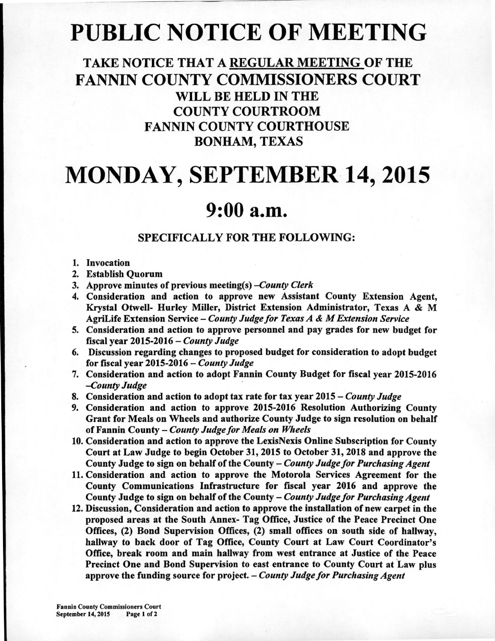# **PUBLIC NOTICE OF MEETING**

### **TAKE NOTICE THAT A REGULAR MEETING OF THE FANNIN COUNTY COMMISSIONERS COURT WILL BE HELD IN THE COUNTY COURTROOM FANNIN COUNTY COURTHOUSE BONHAM, TEXAS**

# **MONDAY, SEPTEMBER 14, 2015**

## **9:00 a.m.**

### **SPECIFICALLY FOR THE FOLLOWING:**

#### 1. Invocation

- 2. Establish Quorum
- 3. Approve minutes of previous meeting(s) *—County Clerk*
- 4. Consideration and action to approve new Assistant County Extension Agent, Krystal Otwell- Hurley Miller, District Extension Administrator, Texas A & M AgriLife Extension Service — *County Judge for Texas A & M Extension Service*
- 5. Consideration and action to approve personnel and pay grades for new budget for fiscal year 2015-2016 — *County Judge*
- 6. Discussion regarding changes to proposed budget for consideration to adopt budget for fiscal year 2015-2016 — *County Judge*
- 7. Consideration and action to adopt Fannin County Budget for fiscal year 2015-2016 *—County Judge*
- 8. Consideration and action to adopt tax rate for tax year 2015 *County Judge*
- 9. Consideration and action to approve 2015-2016 Resolution Authorizing County Grant for Meals on Wheels and authorize County Judge to sign resolution on behalf of Fannin County — *County Judge for Meals on Wheels*
- 10.Consideration and action to approve the LexisNexis Online Subscription for County Court at Law Judge to begin October 31, 2015 to October 31, 2018 and approve the County Judge to sign on behalf of the County — *County Judge for Purchasing Agent*
- 11.Consideration and action to approve the Motorola Services Agreement for the County Communications Infrastructure for fiscal year 2016 and approve the County Judge to sign on behalf of the County — *County Judge for Purchasing Agent*
- 12. Discussion, Consideration and action to approve the installation of new carpet in the proposed areas at the South Annex- Tag Office, Justice of the Peace Precinct One Offices, (2) Bond Supervision Offices, (2) small offices on south side of hallway, hallway to back door of Tag Office, County Court at Law Court Coordinator's Office, break room and main hallway from west entrance at Justice of the Peace Precinct One and Bond Supervision to east entrance to County Court at Law plus approve the funding source for project. — *County Judge for Purchasing Agent*